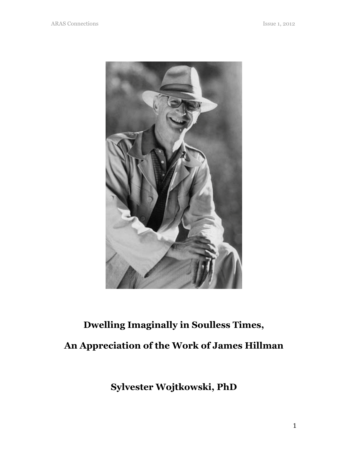

## Dwelling Imaginally in Soulless Times, An Appreciation of the Work of James Hillman

Sylvester Wojtkowski, PhD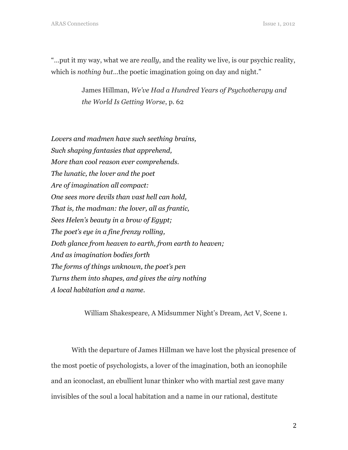"... put it my way, what we are *really*, and the reality we live, is our psychic reality, which is *nothing but*...the poetic imagination going on day and night."

> James Hillman, We've Had a Hundred Years of Psychotherapy and the World Is Getting Worse, p. 62

Lovers and madmen have such seething brains, Such shaping fantasies that apprehend, More than cool reason ever comprehends. The lunatic, the lover and the poet Are of imagination all compact: One sees more devils than vast hell can hold, That is, the madman: the lover, all as frantic, Sees Helen's beauty in a brow of Egypt; The poet's eye in a fine frenzy rolling, Doth glance from heaven to earth, from earth to heaven; And as imagination bodies forth The forms of things unknown, the poet's pen Turns them into shapes, and gives the airy nothing A local habitation and a name.

William Shakespeare, A Midsummer Night's Dream, Act V, Scene 1.

With the departure of James Hillman we have lost the physical presence of the most poetic of psychologists, a lover of the imagination, both an iconophile and an iconoclast, an ebullient lunar thinker who with martial zest gave many invisibles of the soul a local habitation and a name in our rational, destitute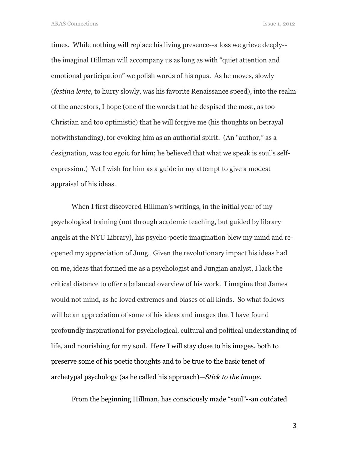times. While nothing will replace his living presence--a loss we grieve deeply- the imaginal Hillman will accompany us as long as with "quiet attention and emotional participation" we polish words of his opus. As he moves, slowly (festina lente, to hurry slowly, was his favorite Renaissance speed), into the realm of the ancestors, I hope (one of the words that he despised the most, as too Christian and too optimistic) that he will forgive me (his thoughts on betrayal notwithstanding), for evoking him as an authorial spirit. (An "author," as a designation, was too egoic for him; he believed that what we speak is soul's selfexpression.) Yet I wish for him as a guide in my attempt to give a modest appraisal of his ideas.

When I first discovered Hillman's writings, in the initial year of my psychological training (not through academic teaching, but guided by library angels at the NYU Library), his psycho-poetic imagination blew my mind and reopened my appreciation of Jung. Given the revolutionary impact his ideas had on me, ideas that formed me as a psychologist and Jungian analyst, I lack the critical distance to offer a balanced overview of his work. I imagine that James would not mind, as he loved extremes and biases of all kinds. So what follows will be an appreciation of some of his ideas and images that I have found profoundly inspirational for psychological, cultural and political understanding of life, and nourishing for my soul. Here I will stay close to his images, both to preserve some of his poetic thoughts and to be true to the basic tenet of archetypal psychology (as he called his approach)—Stick to the image.

From the beginning Hillman, has consciously made "soul"--an outdated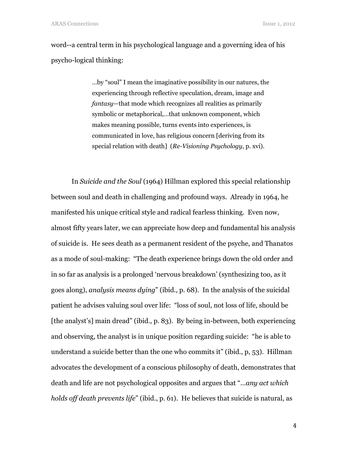word--a central term in his psychological language and a governing idea of his psycho-logical thinking:

> …by "soul" I mean the imaginative possibility in our natures, the experiencing through reflective speculation, dream, image and fantasy—that mode which recognizes all realities as primarily symbolic or metaphorical,…that unknown component, which makes meaning possible, turns events into experiences, is communicated in love, has religious concern [deriving from its special relation with death] (Re-Visioning Psychology, p. xvi).

In Suicide and the Soul (1964) Hillman explored this special relationship between soul and death in challenging and profound ways. Already in 1964, he manifested his unique critical style and radical fearless thinking. Even now, almost fifty years later, we can appreciate how deep and fundamental his analysis of suicide is. He sees death as a permanent resident of the psyche, and Thanatos as a mode of soul-making: "The death experience brings down the old order and in so far as analysis is a prolonged 'nervous breakdown' (synthesizing too, as it goes along), analysis means dying" (ibid., p. 68). In the analysis of the suicidal patient he advises valuing soul over life: "loss of soul, not loss of life, should be [the analyst's] main dread" (ibid., p. 83). By being in-between, both experiencing and observing, the analyst is in unique position regarding suicide: "he is able to understand a suicide better than the one who commits it" (ibid., p, 53). Hillman advocates the development of a conscious philosophy of death, demonstrates that death and life are not psychological opposites and argues that "…any act which holds off death prevents life" (ibid., p. 61). He believes that suicide is natural, as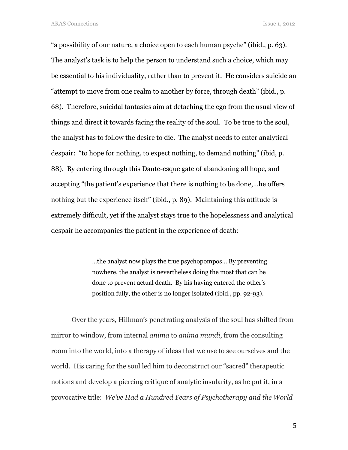"a possibility of our nature, a choice open to each human psyche" (ibid., p. 63). The analyst's task is to help the person to understand such a choice, which may be essential to his individuality, rather than to prevent it. He considers suicide an "attempt to move from one realm to another by force, through death" (ibid., p. 68). Therefore, suicidal fantasies aim at detaching the ego from the usual view of things and direct it towards facing the reality of the soul. To be true to the soul, the analyst has to follow the desire to die. The analyst needs to enter analytical despair: "to hope for nothing, to expect nothing, to demand nothing" (ibid, p. 88). By entering through this Dante-esque gate of abandoning all hope, and accepting "the patient's experience that there is nothing to be done,…he offers nothing but the experience itself" (ibid., p. 89). Maintaining this attitude is extremely difficult, yet if the analyst stays true to the hopelessness and analytical despair he accompanies the patient in the experience of death:

> …the analyst now plays the true psychopompos… By preventing nowhere, the analyst is nevertheless doing the most that can be done to prevent actual death. By his having entered the other's position fully, the other is no longer isolated (ibid., pp. 92-93).

Over the years, Hillman's penetrating analysis of the soul has shifted from mirror to window, from internal *anima* to *anima mundi*, from the consulting room into the world, into a therapy of ideas that we use to see ourselves and the world. His caring for the soul led him to deconstruct our "sacred" therapeutic notions and develop a piercing critique of analytic insularity, as he put it, in a provocative title: We've Had a Hundred Years of Psychotherapy and the World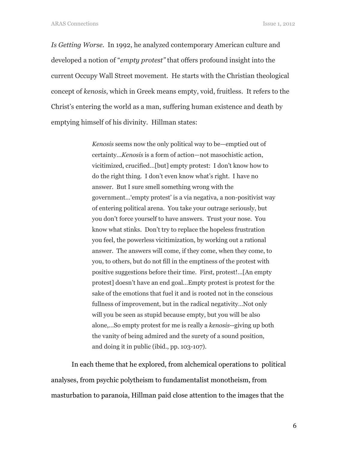Is Getting Worse. In 1992, he analyzed contemporary American culture and developed a notion of "empty protest" that offers profound insight into the current Occupy Wall Street movement. He starts with the Christian theological concept of kenosis, which in Greek means empty, void, fruitless. It refers to the Christ's entering the world as a man, suffering human existence and death by emptying himself of his divinity. Hillman states:

> Kenosis seems now the only political way to be—emptied out of certainty…Kenosis is a form of action—not masochistic action, vicitimized, crucified…[but] empty protest: I don't know how to do the right thing. I don't even know what's right. I have no answer. But I sure smell something wrong with the government…'empty protest' is a via negativa, a non-positivist way of entering political arena. You take your outrage seriously, but you don't force yourself to have answers. Trust your nose. You know what stinks. Don't try to replace the hopeless frustration you feel, the powerless vicitimization, by working out a rational answer. The answers will come, if they come, when they come, to you, to others, but do not fill in the emptiness of the protest with positive suggestions before their time. First, protest!…[An empty protest] doesn't have an end goal…Empty protest is protest for the sake of the emotions that fuel it and is rooted not in the conscious fullness of improvement, but in the radical negativity…Not only will you be seen as stupid because empty, but you will be also alone,…So empty protest for me is really a kenosis--giving up both the vanity of being admired and the surety of a sound position, and doing it in public (ibid., pp. 103-107).

In each theme that he explored, from alchemical operations to political analyses, from psychic polytheism to fundamentalist monotheism, from masturbation to paranoia, Hillman paid close attention to the images that the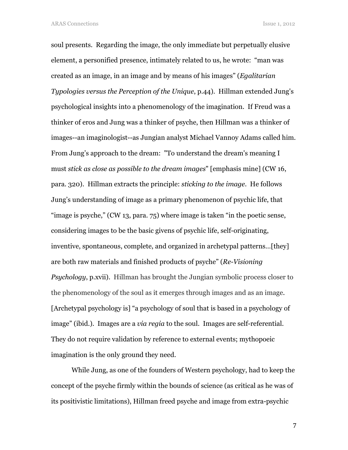soul presents. Regarding the image, the only immediate but perpetually elusive element, a personified presence, intimately related to us, he wrote: "man was created as an image, in an image and by means of his images" (Egalitarian Typologies versus the Perception of the Unique, p.44). Hillman extended Jung's psychological insights into a phenomenology of the imagination. If Freud was a thinker of eros and Jung was a thinker of psyche, then Hillman was a thinker of images--an imaginologist--as Jungian analyst Michael Vannoy Adams called him. From Jung's approach to the dream: "To understand the dream's meaning I must stick as close as possible to the dream images" [emphasis mine] (CW 16, para. 320). Hillman extracts the principle: sticking to the image. He follows Jung's understanding of image as a primary phenomenon of psychic life, that "image is psyche," (CW 13, para. 75) where image is taken "in the poetic sense, considering images to be the basic givens of psychic life, self-originating, inventive, spontaneous, complete, and organized in archetypal patterns…[they] are both raw materials and finished products of psyche" (Re-Visioning Psychology, p.xvii). Hillman has brought the Jungian symbolic process closer to the phenomenology of the soul as it emerges through images and as an image. [Archetypal psychology is] "a psychology of soul that is based in a psychology of image" (ibid.). Images are a via regia to the soul. Images are self-referential. They do not require validation by reference to external events; mythopoeic imagination is the only ground they need.

While Jung, as one of the founders of Western psychology, had to keep the concept of the psyche firmly within the bounds of science (as critical as he was of its positivistic limitations), Hillman freed psyche and image from extra-psychic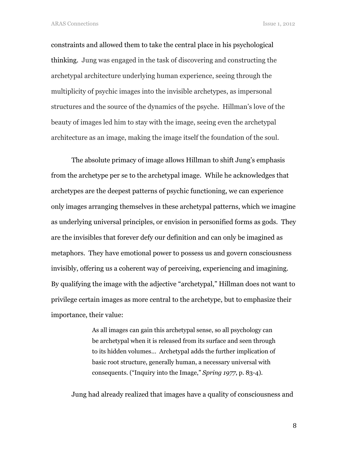constraints and allowed them to take the central place in his psychological thinking. Jung was engaged in the task of discovering and constructing the archetypal architecture underlying human experience, seeing through the multiplicity of psychic images into the invisible archetypes, as impersonal structures and the source of the dynamics of the psyche. Hillman's love of the beauty of images led him to stay with the image, seeing even the archetypal architecture as an image, making the image itself the foundation of the soul.

The absolute primacy of image allows Hillman to shift Jung's emphasis from the archetype per se to the archetypal image. While he acknowledges that archetypes are the deepest patterns of psychic functioning, we can experience only images arranging themselves in these archetypal patterns, which we imagine as underlying universal principles, or envision in personified forms as gods. They are the invisibles that forever defy our definition and can only be imagined as metaphors. They have emotional power to possess us and govern consciousness invisibly, offering us a coherent way of perceiving, experiencing and imagining. By qualifying the image with the adjective "archetypal," Hillman does not want to privilege certain images as more central to the archetype, but to emphasize their importance, their value:

> As all images can gain this archetypal sense, so all psychology can be archetypal when it is released from its surface and seen through to its hidden volumes… Archetypal adds the further implication of basic root structure, generally human, a necessary universal with consequents. ("Inquiry into the Image," Spring 1977, p. 83-4).

Jung had already realized that images have a quality of consciousness and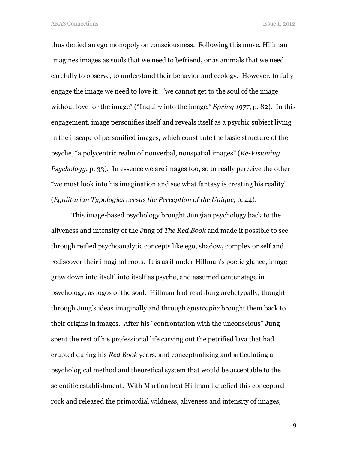thus denied an ego monopoly on consciousness. Following this move, Hillman imagines images as souls that we need to befriend, or as animals that we need carefully to observe, to understand their behavior and ecology. However, to fully engage the image we need to love it: "we cannot get to the soul of the image without love for the image" ("Inquiry into the image," *Spring 1977*, p. 82). In this engagement, image personifies itself and reveals itself as a psychic subject living in the inscape of personified images, which constitute the basic structure of the psyche, "a polycentric realm of nonverbal, nonspatial images" (Re-Visioning Psychology, p. 33). In essence we are images too, so to really perceive the other "we must look into his imagination and see what fantasy is creating his reality" (Egalitarian Typologies versus the Perception of the Unique, p. 44).

This image-based psychology brought Jungian psychology back to the aliveness and intensity of the Jung of The Red Book and made it possible to see through reified psychoanalytic concepts like ego, shadow, complex or self and rediscover their imaginal roots. It is as if under Hillman's poetic glance, image grew down into itself, into itself as psyche, and assumed center stage in psychology, as logos of the soul. Hillman had read Jung archetypally, thought through Jung's ideas imaginally and through epistrophe brought them back to their origins in images. After his "confrontation with the unconscious" Jung spent the rest of his professional life carving out the petrified lava that had erupted during his Red Book years, and conceptualizing and articulating a psychological method and theoretical system that would be acceptable to the scientific establishment. With Martian heat Hillman liquefied this conceptual rock and released the primordial wildness, aliveness and intensity of images,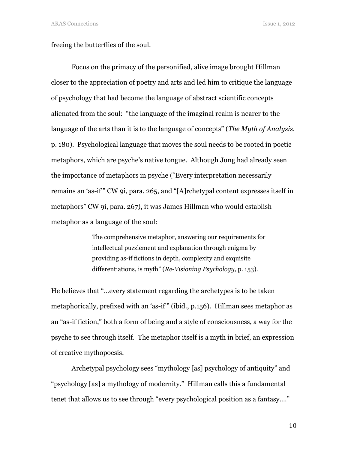freeing the butterflies of the soul.

Focus on the primacy of the personified, alive image brought Hillman closer to the appreciation of poetry and arts and led him to critique the language of psychology that had become the language of abstract scientific concepts alienated from the soul: "the language of the imaginal realm is nearer to the language of the arts than it is to the language of concepts" (*The Myth of Analysis*, p. 180). Psychological language that moves the soul needs to be rooted in poetic metaphors, which are psyche's native tongue. Although Jung had already seen the importance of metaphors in psyche ("Every interpretation necessarily remains an 'as-if'" CW 9i, para. 265, and "[A]rchetypal content expresses itself in metaphors" CW 9i, para. 267), it was James Hillman who would establish metaphor as a language of the soul:

> The comprehensive metaphor, answering our requirements for intellectual puzzlement and explanation through enigma by providing as-if fictions in depth, complexity and exquisite differentiations, is myth" (Re-Visioning Psychology, p. 153).

He believes that "…every statement regarding the archetypes is to be taken metaphorically, prefixed with an 'as-if'" (ibid., p.156). Hillman sees metaphor as an "as-if fiction," both a form of being and a style of consciousness, a way for the psyche to see through itself. The metaphor itself is a myth in brief, an expression of creative mythopoesis.

Archetypal psychology sees "mythology [as] psychology of antiquity" and "psychology [as] a mythology of modernity." Hillman calls this a fundamental tenet that allows us to see through "every psychological position as a fantasy…."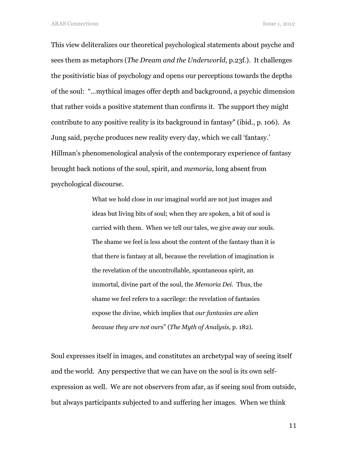This view deliteralizes our theoretical psychological statements about psyche and sees them as metaphors (*The Dream and the Underworld*, p.23f.). It challenges the positivistic bias of psychology and opens our perceptions towards the depths of the soul: "…mythical images offer depth and background, a psychic dimension that rather voids a positive statement than confirms it. The support they might contribute to any positive reality is its background in fantasy" (ibid., p. 106). As Jung said, psyche produces new reality every day, which we call 'fantasy.' Hillman's phenomenological analysis of the contemporary experience of fantasy brought back notions of the soul, spirit, and memoria, long absent from psychological discourse.

> What we hold close in our imaginal world are not just images and ideas but living bits of soul; when they are spoken, a bit of soul is carried with them. When we tell our tales, we give away our souls. The shame we feel is less about the content of the fantasy than it is that there is fantasy at all, because the revelation of imagination is the revelation of the uncontrollable, spontaneous spirit, an immortal, divine part of the soul, the Memoria Dei. Thus, the shame we feel refers to a sacrilege: the revelation of fantasies expose the divine, which implies that our fantasies are alien because they are not ours" (The Myth of Analysis, p. 182).

Soul expresses itself in images, and constitutes an archetypal way of seeing itself and the world. Any perspective that we can have on the soul is its own selfexpression as well. We are not observers from afar, as if seeing soul from outside, but always participants subjected to and suffering her images. When we think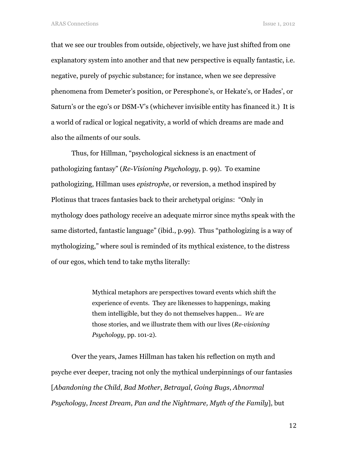that we see our troubles from outside, objectively, we have just shifted from one explanatory system into another and that new perspective is equally fantastic, i.e. negative, purely of psychic substance; for instance, when we see depressive phenomena from Demeter's position, or Peresphone's, or Hekate's, or Hades', or Saturn's or the ego's or DSM-V's (whichever invisible entity has financed it.) It is a world of radical or logical negativity, a world of which dreams are made and also the ailments of our souls.

Thus, for Hillman, "psychological sickness is an enactment of pathologizing fantasy" (Re-Visioning Psychology, p. 99). To examine pathologizing, Hillman uses epistrophe, or reversion, a method inspired by Plotinus that traces fantasies back to their archetypal origins: "Only in mythology does pathology receive an adequate mirror since myths speak with the same distorted, fantastic language" (ibid., p.99). Thus "pathologizing is a way of mythologizing," where soul is reminded of its mythical existence, to the distress of our egos, which tend to take myths literally:

> Mythical metaphors are perspectives toward events which shift the experience of events. They are likenesses to happenings, making them intelligible, but they do not themselves happen... We are those stories, and we illustrate them with our lives (Re-visioning Psychology, pp. 101-2).

Over the years, James Hillman has taken his reflection on myth and psyche ever deeper, tracing not only the mythical underpinnings of our fantasies [Abandoning the Child, Bad Mother, Betrayal, Going Bugs, Abnormal Psychology, Incest Dream, Pan and the Nightmare, Myth of the Family], but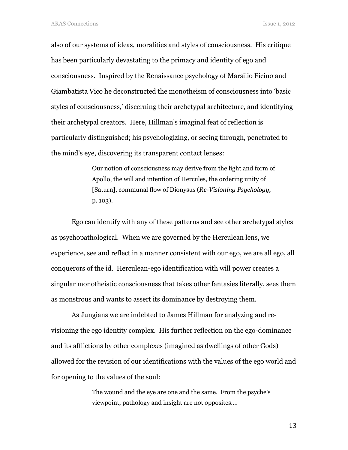also of our systems of ideas, moralities and styles of consciousness. His critique has been particularly devastating to the primacy and identity of ego and consciousness. Inspired by the Renaissance psychology of Marsilio Ficino and Giambatista Vico he deconstructed the monotheism of consciousness into 'basic styles of consciousness,' discerning their archetypal architecture, and identifying their archetypal creators. Here, Hillman's imaginal feat of reflection is particularly distinguished; his psychologizing, or seeing through, penetrated to the mind's eye, discovering its transparent contact lenses:

> Our notion of consciousness may derive from the light and form of Apollo, the will and intention of Hercules, the ordering unity of [Saturn], communal flow of Dionysus (Re-Visioning Psychology, p. 103).

Ego can identify with any of these patterns and see other archetypal styles as psychopathological. When we are governed by the Herculean lens, we experience, see and reflect in a manner consistent with our ego, we are all ego, all conquerors of the id. Herculean-ego identification with will power creates a singular monotheistic consciousness that takes other fantasies literally, sees them as monstrous and wants to assert its dominance by destroying them.

As Jungians we are indebted to James Hillman for analyzing and revisioning the ego identity complex. His further reflection on the ego-dominance and its afflictions by other complexes (imagined as dwellings of other Gods) allowed for the revision of our identifications with the values of the ego world and for opening to the values of the soul:

> The wound and the eye are one and the same. From the psyche's viewpoint, pathology and insight are not opposites….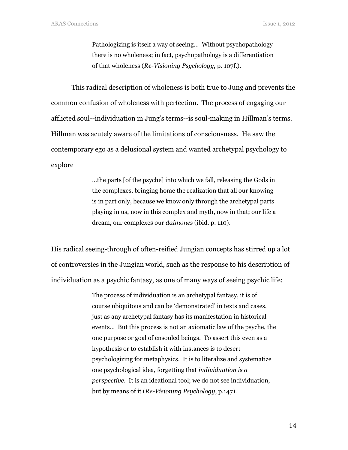Pathologizing is itself a way of seeing… Without psychopathology there is no wholeness; in fact, psychopathology is a differentiation of that wholeness (Re-Visioning Psychology, p. 107f.).

This radical description of wholeness is both true to Jung and prevents the common confusion of wholeness with perfection. The process of engaging our afflicted soul--individuation in Jung's terms--is soul-making in Hillman's terms. Hillman was acutely aware of the limitations of consciousness. He saw the contemporary ego as a delusional system and wanted archetypal psychology to explore

> …the parts [of the psyche] into which we fall, releasing the Gods in the complexes, bringing home the realization that all our knowing is in part only, because we know only through the archetypal parts playing in us, now in this complex and myth, now in that; our life a dream, our complexes our daimones (ibid. p. 110).

His radical seeing-through of often-reified Jungian concepts has stirred up a lot of controversies in the Jungian world, such as the response to his description of individuation as a psychic fantasy, as one of many ways of seeing psychic life:

> The process of individuation is an archetypal fantasy, it is of course ubiquitous and can be 'demonstrated' in texts and cases, just as any archetypal fantasy has its manifestation in historical events… But this process is not an axiomatic law of the psyche, the one purpose or goal of ensouled beings. To assert this even as a hypothesis or to establish it with instances is to desert psychologizing for metaphysics. It is to literalize and systematize one psychological idea, forgetting that individuation is a perspective. It is an ideational tool; we do not see individuation, but by means of it (Re-Visioning Psychology, p.147).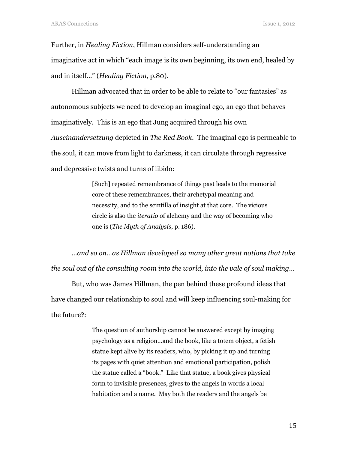Further, in Healing Fiction, Hillman considers self-understanding an imaginative act in which "each image is its own beginning, its own end, healed by and in itself…" (Healing Fiction, p.80).

Hillman advocated that in order to be able to relate to "our fantasies" as autonomous subjects we need to develop an imaginal ego, an ego that behaves imaginatively. This is an ego that Jung acquired through his own Auseinandersetzung depicted in The Red Book. The imaginal ego is permeable to the soul, it can move from light to darkness, it can circulate through regressive and depressive twists and turns of libido:

> [Such] repeated remembrance of things past leads to the memorial core of these remembrances, their archetypal meaning and necessity, and to the scintilla of insight at that core. The vicious circle is also the iteratio of alchemy and the way of becoming who one is (The Myth of Analysis, p. 186).

…and so on…as Hillman developed so many other great notions that take the soul out of the consulting room into the world, into the vale of soul making…

But, who was James Hillman, the pen behind these profound ideas that have changed our relationship to soul and will keep influencing soul-making for the future?:

> The question of authorship cannot be answered except by imaging psychology as a religion…and the book, like a totem object, a fetish statue kept alive by its readers, who, by picking it up and turning its pages with quiet attention and emotional participation, polish the statue called a "book." Like that statue, a book gives physical form to invisible presences, gives to the angels in words a local habitation and a name. May both the readers and the angels be